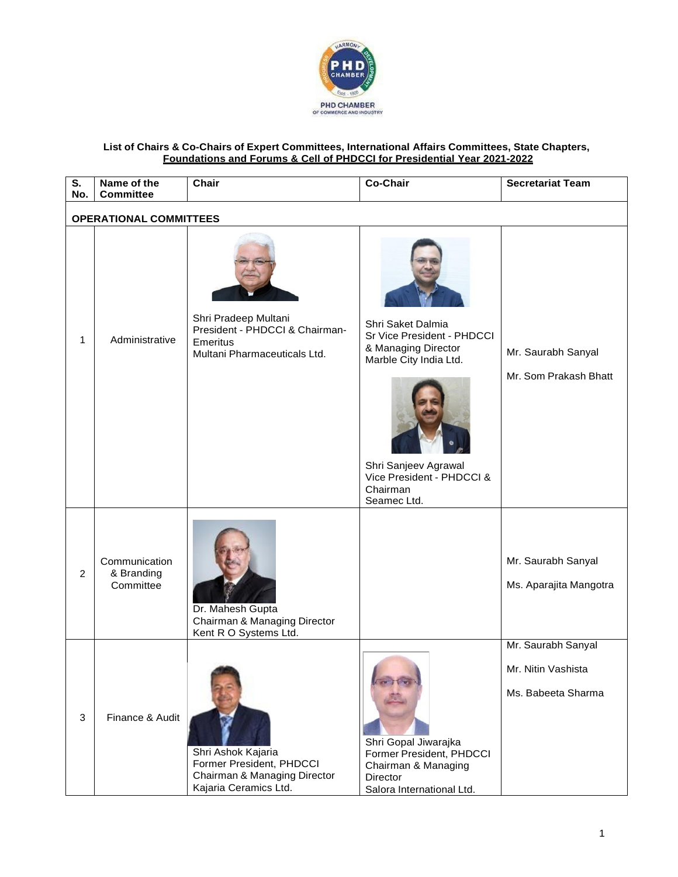

## **List of Chairs & Co-Chairs of Expert Committees, International Affairs Committees, State Chapters, Foundations and Forums & Cell of PHDCCI for Presidential Year 2021-2022**

| S.<br>No.      | Name of the<br><b>Committee</b>          | Chair                                                                                                   | <b>Co-Chair</b>                                                                                                                                                                  | <b>Secretariat Team</b>                                        |  |  |  |
|----------------|------------------------------------------|---------------------------------------------------------------------------------------------------------|----------------------------------------------------------------------------------------------------------------------------------------------------------------------------------|----------------------------------------------------------------|--|--|--|
|                | <b>OPERATIONAL COMMITTEES</b>            |                                                                                                         |                                                                                                                                                                                  |                                                                |  |  |  |
| 1              | Administrative                           | Shri Pradeep Multani<br>President - PHDCCI & Chairman-<br>Emeritus<br>Multani Pharmaceuticals Ltd.      | Shri Saket Dalmia<br>Sr Vice President - PHDCCI<br>& Managing Director<br>Marble City India Ltd.<br>Shri Sanjeev Agrawal<br>Vice President - PHDCCI &<br>Chairman<br>Seamec Ltd. | Mr. Saurabh Sanyal<br>Mr. Som Prakash Bhatt                    |  |  |  |
| $\overline{2}$ | Communication<br>& Branding<br>Committee | Dr. Mahesh Gupta<br>Chairman & Managing Director<br>Kent R O Systems Ltd.                               |                                                                                                                                                                                  | Mr. Saurabh Sanyal<br>Ms. Aparajita Mangotra                   |  |  |  |
| $\mathbf{3}$   | Finance & Audit                          | Shri Ashok Kajaria<br>Former President, PHDCCI<br>Chairman & Managing Director<br>Kajaria Ceramics Ltd. | Shri Gopal Jiwarajka<br>Former President, PHDCCI<br>Chairman & Managing<br>Director<br>Salora International Ltd.                                                                 | Mr. Saurabh Sanyal<br>Mr. Nitin Vashista<br>Ms. Babeeta Sharma |  |  |  |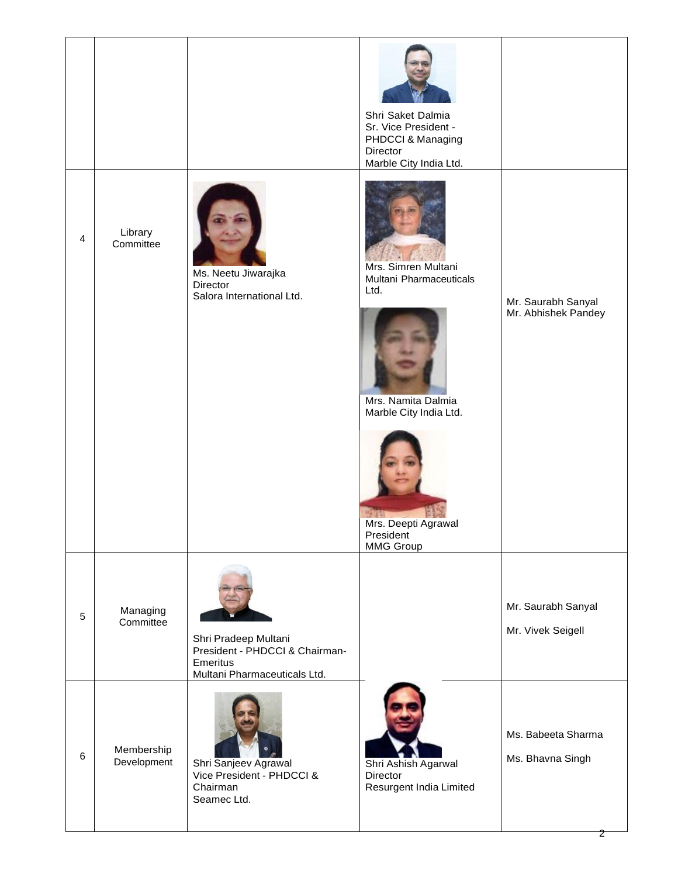|   |                           |                                                                                                    | Shri Saket Dalmia<br>Sr. Vice President -<br>PHDCCI & Managing<br>Director<br>Marble City India Ltd.                                                    |                                           |
|---|---------------------------|----------------------------------------------------------------------------------------------------|---------------------------------------------------------------------------------------------------------------------------------------------------------|-------------------------------------------|
| 4 | Library<br>Committee      | Ms. Neetu Jiwarajka<br>Director<br>Salora International Ltd.                                       | Mrs. Simren Multani<br>Multani Pharmaceuticals<br>Ltd.<br>Mrs. Namita Dalmia<br>Marble City India Ltd.<br>Mrs. Deepti Agrawal<br>President<br>MMG Group | Mr. Saurabh Sanyal<br>Mr. Abhishek Pandey |
| 5 | Managing<br>Committee     | Shri Pradeep Multani<br>President - PHDCCI & Chairman-<br>Emeritus<br>Multani Pharmaceuticals Ltd. |                                                                                                                                                         | Mr. Saurabh Sanyal<br>Mr. Vivek Seigell   |
| 6 | Membership<br>Development | Shri Sanjeev Agrawal<br>Vice President - PHDCCI &<br>Chairman<br>Seamec Ltd.                       | Shri Ashish Agarwal<br>Director<br>Resurgent India Limited                                                                                              | Ms. Babeeta Sharma<br>Ms. Bhavna Singh    |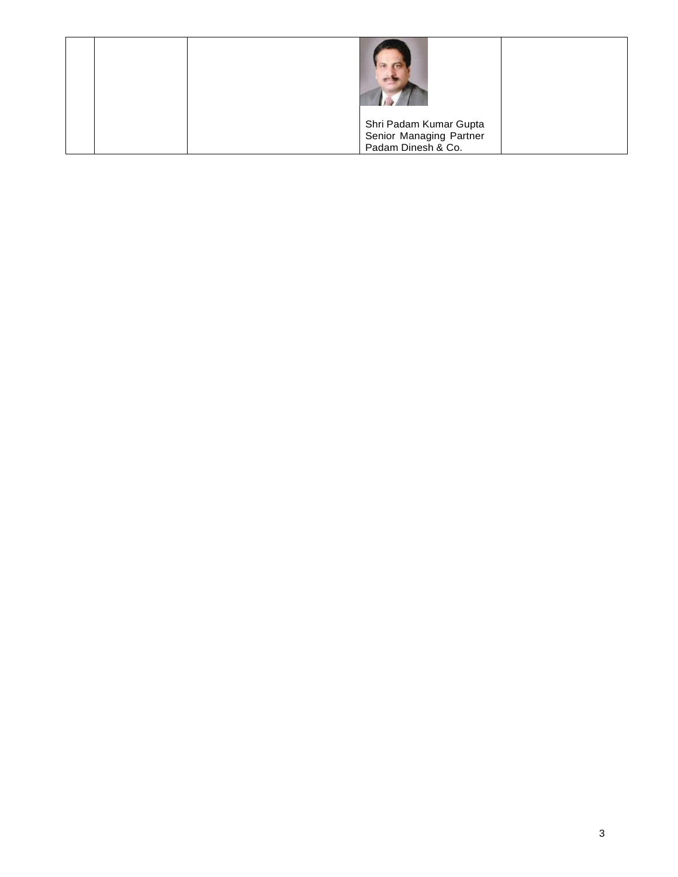|  | Shri Padam Kumar Gupta  |  |
|--|-------------------------|--|
|  | Senior Managing Partner |  |
|  | Padam Dinesh & Co.      |  |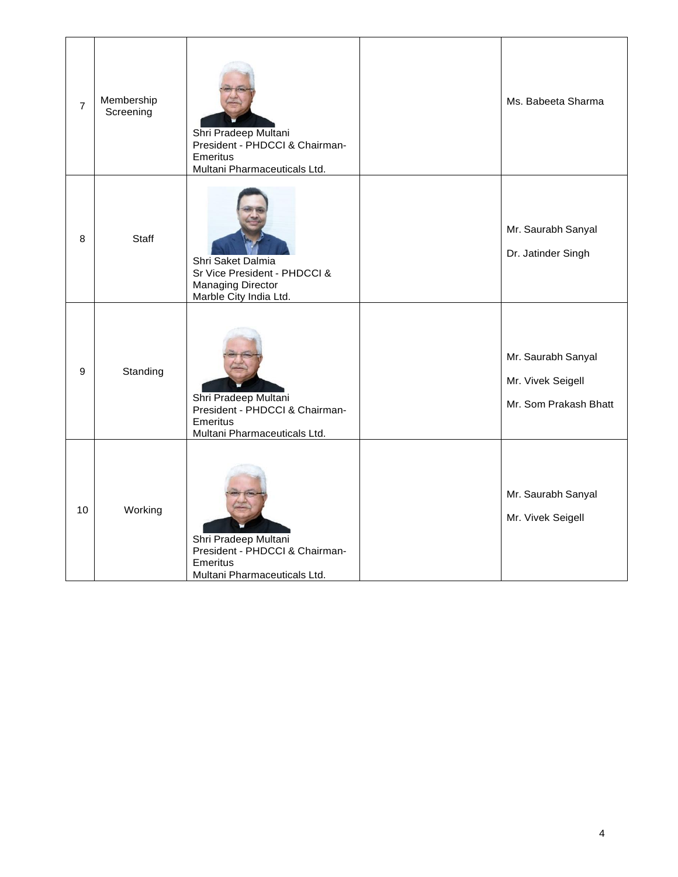| $\overline{7}$ | Membership<br>Screening | Shri Pradeep Multani<br>President - PHDCCI & Chairman-<br><b>Emeritus</b><br>Multani Pharmaceuticals Ltd. | Ms. Babeeta Sharma                                               |
|----------------|-------------------------|-----------------------------------------------------------------------------------------------------------|------------------------------------------------------------------|
| 8              | Staff                   | Shri Saket Dalmia<br>Sr Vice President - PHDCCI &<br><b>Managing Director</b><br>Marble City India Ltd.   | Mr. Saurabh Sanyal<br>Dr. Jatinder Singh                         |
| 9              | Standing                | Shri Pradeep Multani<br>President - PHDCCI & Chairman-<br><b>Emeritus</b><br>Multani Pharmaceuticals Ltd. | Mr. Saurabh Sanyal<br>Mr. Vivek Seigell<br>Mr. Som Prakash Bhatt |
| 10             | Working                 | Shri Pradeep Multani<br>President - PHDCCI & Chairman-<br>Emeritus<br>Multani Pharmaceuticals Ltd.        | Mr. Saurabh Sanyal<br>Mr. Vivek Seigell                          |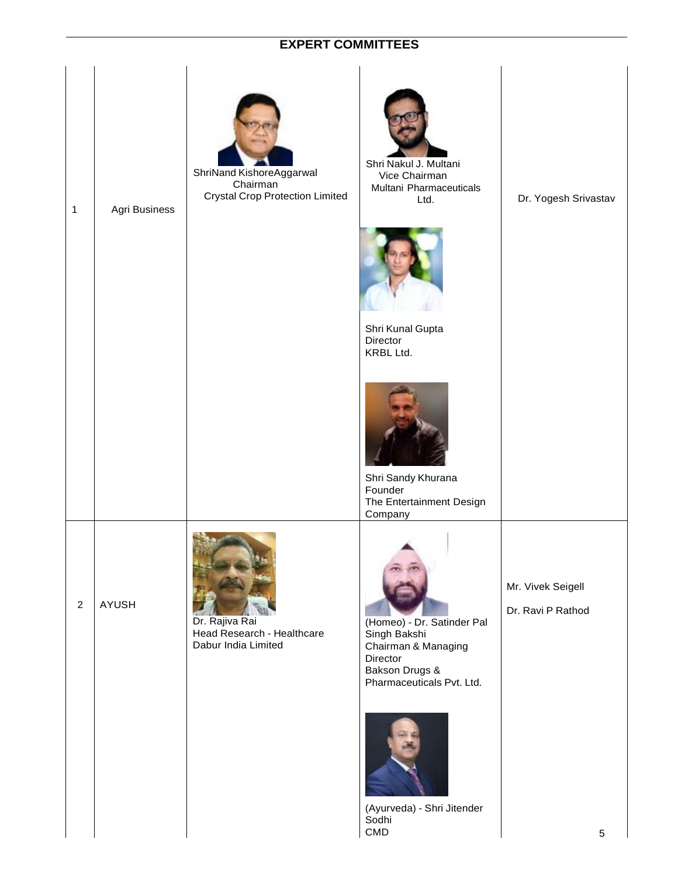## **EXPERT COMMITTEES**

| 1              | Agri Business | ShriNand KishoreAggarwal<br>Chairman<br><b>Crystal Crop Protection Limited</b> | Shri Nakul J. Multani<br>Vice Chairman<br>Multani Pharmaceuticals<br>Ltd.<br>Shri Kunal Gupta<br>Director<br>KRBL Ltd.<br>Shri Sandy Khurana<br>Founder                                                                      | Dr. Yogesh Srivastav                        |
|----------------|---------------|--------------------------------------------------------------------------------|------------------------------------------------------------------------------------------------------------------------------------------------------------------------------------------------------------------------------|---------------------------------------------|
| $\overline{2}$ | <b>AYUSH</b>  | Dr. Rajiva Rai<br>Head Research - Healthcare<br>Dabur India Limited            | The Entertainment Design<br>Company<br>(Homeo) - Dr. Satinder Pal<br>Singh Bakshi<br>Chairman & Managing<br>Director<br>Bakson Drugs &<br>Pharmaceuticals Pvt. Ltd.<br>(Ayurveda) - Shri Jitender<br>Sodhi<br>$\mathsf{CMD}$ | Mr. Vivek Seigell<br>Dr. Ravi P Rathod<br>5 |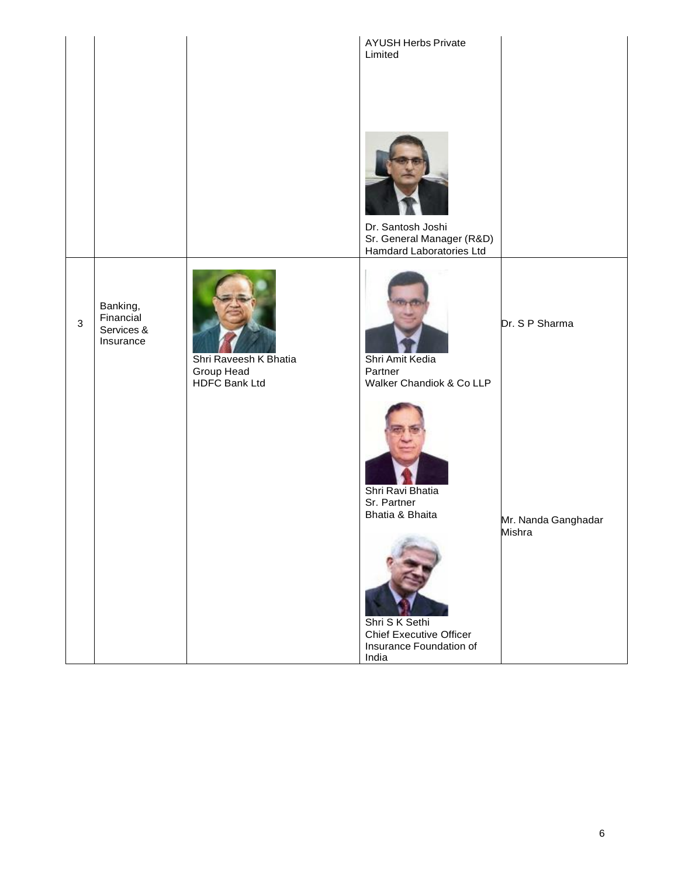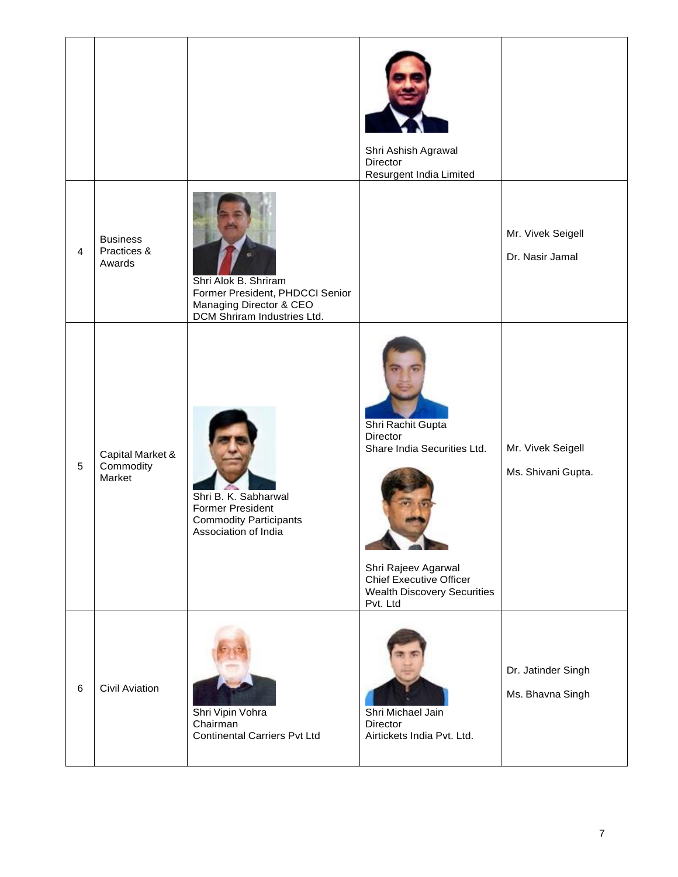|                |                                          |                                                                                                                   | Shri Ashish Agrawal<br>Director<br>Resurgent India Limited                                                                                                              |                                         |
|----------------|------------------------------------------|-------------------------------------------------------------------------------------------------------------------|-------------------------------------------------------------------------------------------------------------------------------------------------------------------------|-----------------------------------------|
| $\overline{4}$ | <b>Business</b><br>Practices &<br>Awards | Shri Alok B. Shriram<br>Former President, PHDCCI Senior<br>Managing Director & CEO<br>DCM Shriram Industries Ltd. |                                                                                                                                                                         | Mr. Vivek Seigell<br>Dr. Nasir Jamal    |
| 5              | Capital Market &<br>Commodity<br>Market  | Shri B. K. Sabharwal<br><b>Former President</b><br><b>Commodity Participants</b><br>Association of India          | Shri Rachit Gupta<br>Director<br>Share India Securities Ltd.<br>Shri Rajeev Agarwal<br><b>Chief Executive Officer</b><br><b>Wealth Discovery Securities</b><br>Pvt. Ltd | Mr. Vivek Seigell<br>Ms. Shivani Gupta. |
| 6              | <b>Civil Aviation</b>                    | Shri Vipin Vohra<br>Chairman<br><b>Continental Carriers Pvt Ltd</b>                                               | Shri Michael Jain<br>Director<br>Airtickets India Pvt. Ltd.                                                                                                             | Dr. Jatinder Singh<br>Ms. Bhavna Singh  |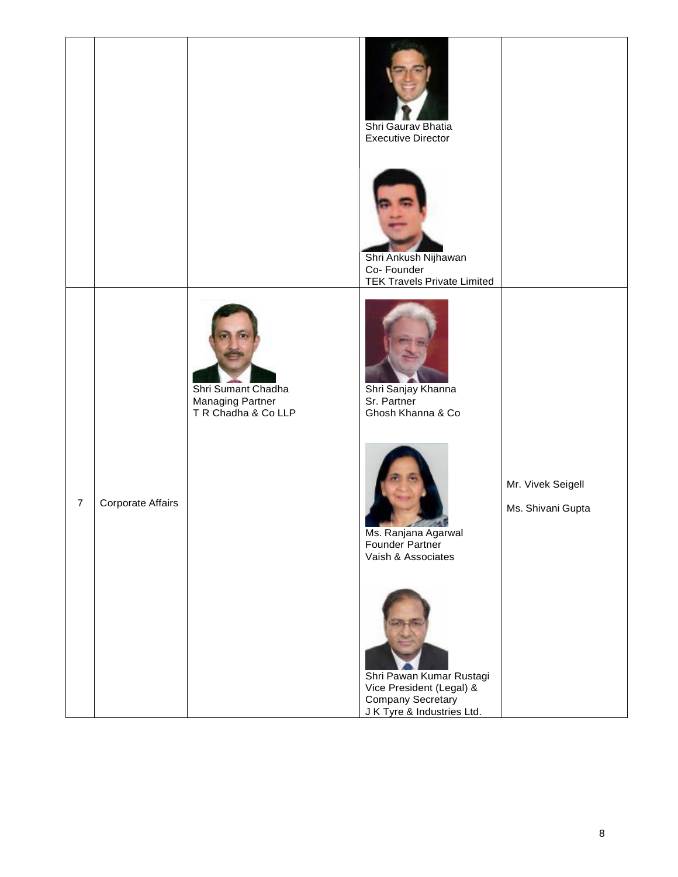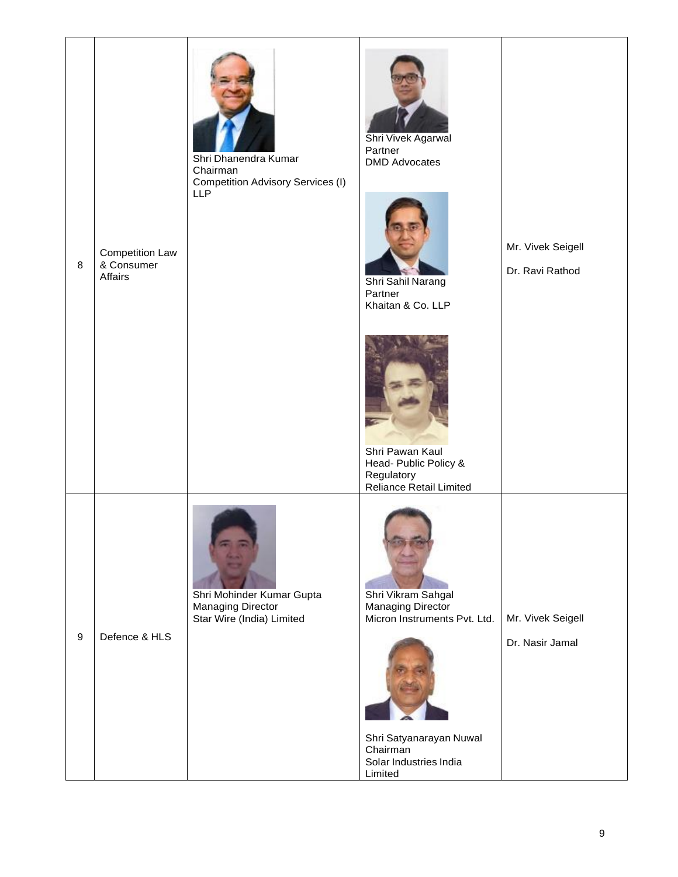|                  |                                                 | Shri Dhanendra Kumar<br>Chairman<br><b>Competition Advisory Services (I)</b><br><b>LLP</b> | Shri Vivek Agarwal<br>Partner<br><b>DMD Advocates</b>                                                     |                                      |
|------------------|-------------------------------------------------|--------------------------------------------------------------------------------------------|-----------------------------------------------------------------------------------------------------------|--------------------------------------|
| 8                | <b>Competition Law</b><br>& Consumer<br>Affairs |                                                                                            | Shri Sahil Narang<br>Partner<br>Khaitan & Co. LLP                                                         | Mr. Vivek Seigell<br>Dr. Ravi Rathod |
|                  |                                                 |                                                                                            | Shri Pawan Kaul<br>Head- Public Policy &<br>Regulatory                                                    |                                      |
| $\boldsymbol{9}$ | Defence & HLS                                   | Shri Mohinder Kumar Gupta<br><b>Managing Director</b><br>Star Wire (India) Limited         | Reliance Retail Limited<br>Shri Vikram Sahgal<br><b>Managing Director</b><br>Micron Instruments Pvt. Ltd. | Mr. Vivek Seigell<br>Dr. Nasir Jamal |
|                  |                                                 |                                                                                            | Shri Satyanarayan Nuwal<br>Chairman<br>Solar Industries India<br>Limited                                  |                                      |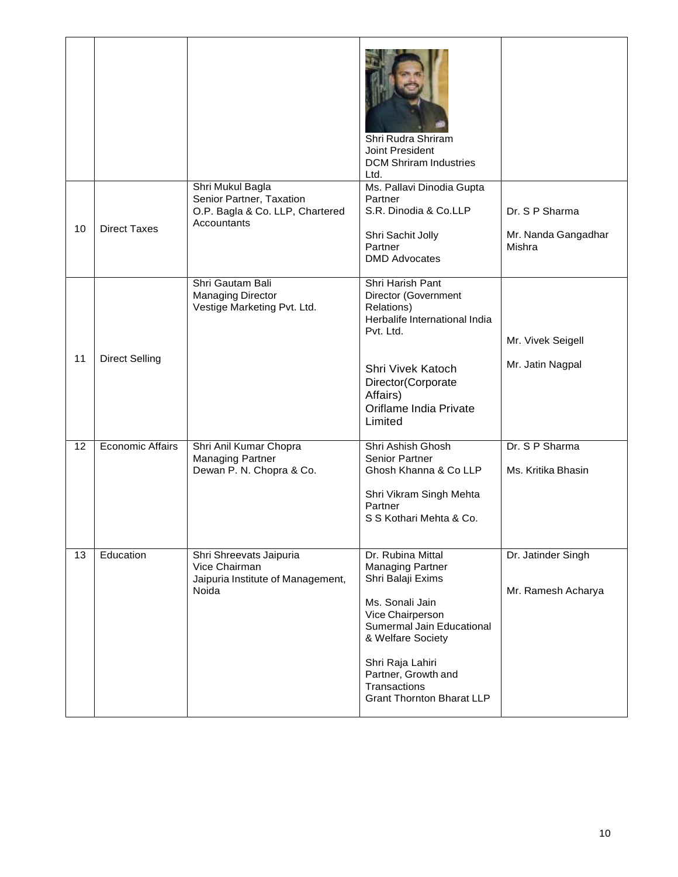|    |                         |                                                                                                | Shri Rudra Shriram<br>Joint President<br><b>DCM Shriram Industries</b><br>Ltd.                                                                                                                                                                            |                                                 |
|----|-------------------------|------------------------------------------------------------------------------------------------|-----------------------------------------------------------------------------------------------------------------------------------------------------------------------------------------------------------------------------------------------------------|-------------------------------------------------|
| 10 | <b>Direct Taxes</b>     | Shri Mukul Bagla<br>Senior Partner, Taxation<br>O.P. Bagla & Co. LLP, Chartered<br>Accountants | Ms. Pallavi Dinodia Gupta<br>Partner<br>S.R. Dinodia & Co.LLP<br>Shri Sachit Jolly<br>Partner<br><b>DMD Advocates</b>                                                                                                                                     | Dr. S P Sharma<br>Mr. Nanda Gangadhar<br>Mishra |
| 11 | <b>Direct Selling</b>   | Shri Gautam Bali<br><b>Managing Director</b><br>Vestige Marketing Pvt. Ltd.                    | Shri Harish Pant<br>Director (Government<br>Relations)<br>Herbalife International India<br>Pvt. Ltd.<br>Shri Vivek Katoch<br>Director(Corporate<br>Affairs)<br>Oriflame India Private<br>Limited                                                          | Mr. Vivek Seigell<br>Mr. Jatin Nagpal           |
| 12 | <b>Economic Affairs</b> | Shri Anil Kumar Chopra<br><b>Managing Partner</b><br>Dewan P. N. Chopra & Co.                  | Shri Ashish Ghosh<br><b>Senior Partner</b><br>Ghosh Khanna & Co LLP<br>Shri Vikram Singh Mehta<br>Partner<br>S S Kothari Mehta & Co.                                                                                                                      | Dr. S P Sharma<br>Ms. Kritika Bhasin            |
| 13 | Education               | Shri Shreevats Jaipuria<br>Vice Chairman<br>Jaipuria Institute of Management,<br>Noida         | Dr. Rubina Mittal<br><b>Managing Partner</b><br>Shri Balaji Exims<br>Ms. Sonali Jain<br>Vice Chairperson<br>Sumermal Jain Educational<br>& Welfare Society<br>Shri Raja Lahiri<br>Partner, Growth and<br>Transactions<br><b>Grant Thornton Bharat LLP</b> | Dr. Jatinder Singh<br>Mr. Ramesh Acharya        |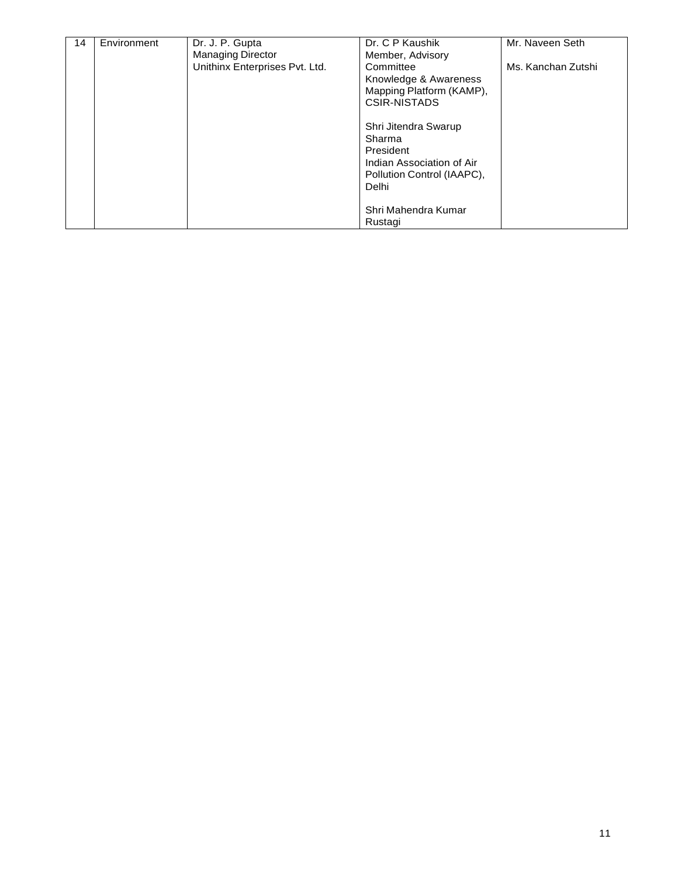| 14 | Environment | Dr. J. P. Gupta<br><b>Managing Director</b> | Dr. C P Kaushik<br>Member, Advisory                                                                             | Mr. Naveen Seth    |
|----|-------------|---------------------------------------------|-----------------------------------------------------------------------------------------------------------------|--------------------|
|    |             | Unithinx Enterprises Pvt. Ltd.              | Committee<br>Knowledge & Awareness<br>Mapping Platform (KAMP),<br><b>CSIR-NISTADS</b>                           | Ms. Kanchan Zutshi |
|    |             |                                             | Shri Jitendra Swarup<br>Sharma<br>President<br>Indian Association of Air<br>Pollution Control (IAAPC),<br>Delhi |                    |
|    |             |                                             | Shri Mahendra Kumar<br>Rustagi                                                                                  |                    |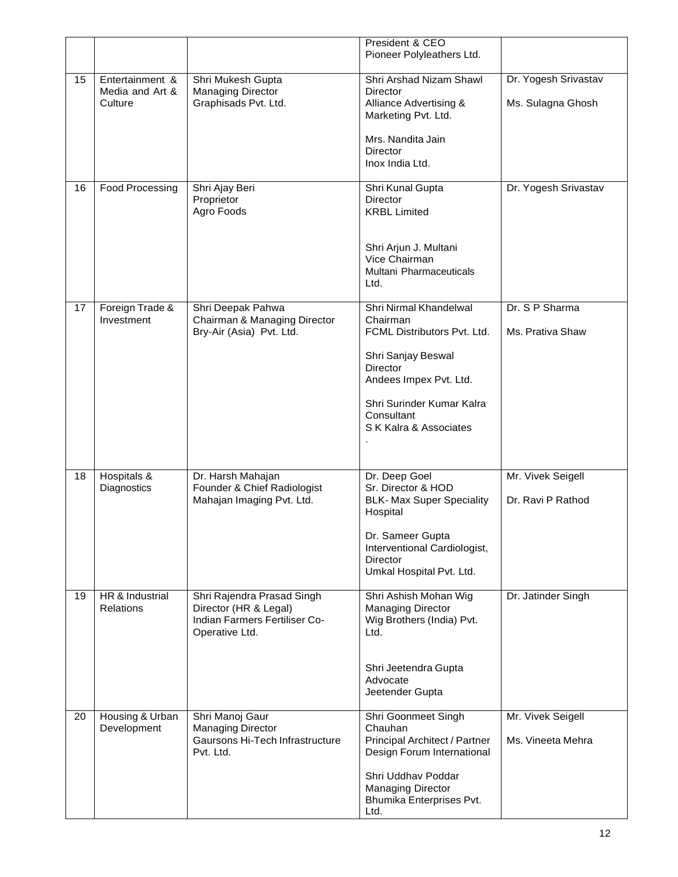|    |                                               |                                                                                                        | President & CEO<br>Pioneer Polyleathers Ltd.                                                                                                                                                              |                                           |
|----|-----------------------------------------------|--------------------------------------------------------------------------------------------------------|-----------------------------------------------------------------------------------------------------------------------------------------------------------------------------------------------------------|-------------------------------------------|
| 15 | Entertainment &<br>Media and Art &<br>Culture | Shri Mukesh Gupta<br><b>Managing Director</b><br>Graphisads Pvt. Ltd.                                  | Shri Arshad Nizam Shawl<br>Director<br>Alliance Advertising &<br>Marketing Pvt. Ltd.<br>Mrs. Nandita Jain<br>Director                                                                                     | Dr. Yogesh Srivastav<br>Ms. Sulagna Ghosh |
| 16 | Food Processing                               | Shri Ajay Beri<br>Proprietor<br>Agro Foods                                                             | Inox India Ltd.<br>Shri Kunal Gupta<br>Director<br><b>KRBL Limited</b><br>Shri Arjun J. Multani<br>Vice Chairman<br>Multani Pharmaceuticals<br>Ltd.                                                       | Dr. Yogesh Srivastav                      |
| 17 | Foreign Trade &<br>Investment                 | Shri Deepak Pahwa<br>Chairman & Managing Director<br>Bry-Air (Asia) Pvt. Ltd.                          | Shri Nirmal Khandelwal<br>Chairman<br>FCML Distributors Pvt. Ltd.<br>Shri Sanjay Beswal<br><b>Director</b><br>Andees Impex Pvt. Ltd.<br>Shri Surinder Kumar Kalra<br>Consultant<br>S K Kalra & Associates | Dr. S P Sharma<br>Ms. Prativa Shaw        |
| 18 | Hospitals &<br>Diagnostics                    | Dr. Harsh Mahajan<br>Founder & Chief Radiologist<br>Mahajan Imaging Pvt. Ltd.                          | Dr. Deep Goel<br>Sr. Director & HOD<br><b>BLK- Max Super Speciality</b><br>Hospital<br>Dr. Sameer Gupta<br>Interventional Cardiologist,<br><b>Director</b><br>Umkal Hospital Pvt. Ltd.                    | Mr. Vivek Seigell<br>Dr. Ravi P Rathod    |
| 19 | HR & Industrial<br><b>Relations</b>           | Shri Rajendra Prasad Singh<br>Director (HR & Legal)<br>Indian Farmers Fertiliser Co-<br>Operative Ltd. | Shri Ashish Mohan Wig<br><b>Managing Director</b><br>Wig Brothers (India) Pvt.<br>Ltd.<br>Shri Jeetendra Gupta<br>Advocate<br>Jeetender Gupta                                                             | Dr. Jatinder Singh                        |
| 20 | Housing & Urban<br>Development                | Shri Manoj Gaur<br><b>Managing Director</b><br>Gaursons Hi-Tech Infrastructure<br>Pvt. Ltd.            | Shri Goonmeet Singh<br>Chauhan<br>Principal Architect / Partner<br>Design Forum International<br>Shri Uddhav Poddar<br><b>Managing Director</b><br>Bhumika Enterprises Pvt.<br>Ltd.                       | Mr. Vivek Seigell<br>Ms. Vineeta Mehra    |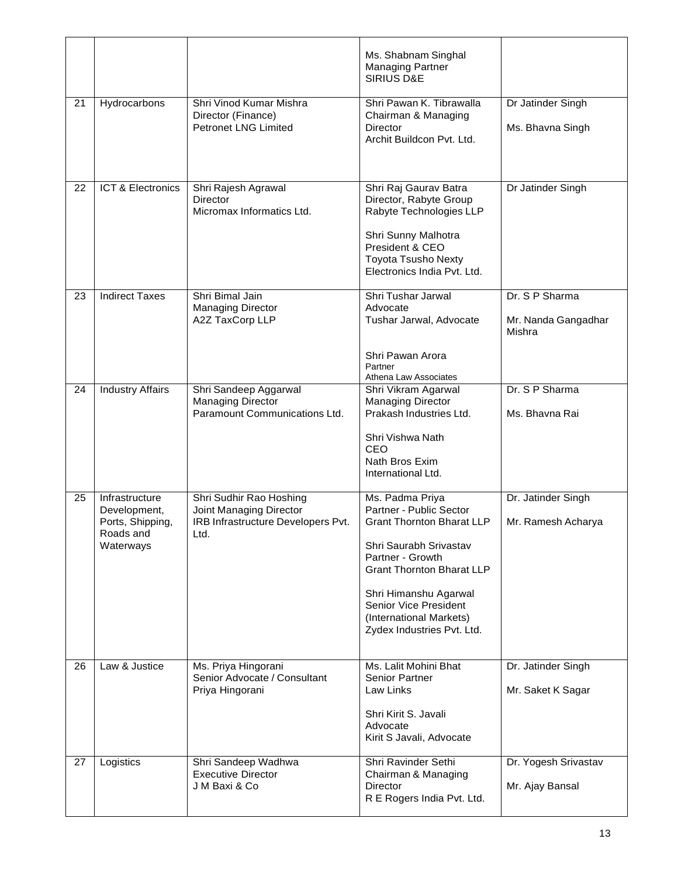|    |                                                                              |                                                                                                  | Ms. Shabnam Singhal<br><b>Managing Partner</b><br><b>SIRIUS D&amp;E</b>                                                                                                                                                                                                     |                                                 |
|----|------------------------------------------------------------------------------|--------------------------------------------------------------------------------------------------|-----------------------------------------------------------------------------------------------------------------------------------------------------------------------------------------------------------------------------------------------------------------------------|-------------------------------------------------|
| 21 | Hydrocarbons                                                                 | Shri Vinod Kumar Mishra<br>Director (Finance)<br><b>Petronet LNG Limited</b>                     | Shri Pawan K. Tibrawalla<br>Chairman & Managing<br><b>Director</b><br>Archit Buildcon Pvt. Ltd.                                                                                                                                                                             | Dr Jatinder Singh<br>Ms. Bhavna Singh           |
| 22 | <b>ICT &amp; Electronics</b>                                                 | Shri Rajesh Agrawal<br>Director<br>Micromax Informatics Ltd.                                     | Shri Raj Gaurav Batra<br>Director, Rabyte Group<br>Rabyte Technologies LLP<br>Shri Sunny Malhotra<br>President & CEO<br><b>Toyota Tsusho Nexty</b><br>Electronics India Pvt. Ltd.                                                                                           | Dr Jatinder Singh                               |
| 23 | <b>Indirect Taxes</b>                                                        | Shri Bimal Jain<br><b>Managing Director</b><br>A2Z TaxCorp LLP                                   | Shri Tushar Jarwal<br>Advocate<br>Tushar Jarwal, Advocate<br>Shri Pawan Arora<br>Partner<br>Athena Law Associates                                                                                                                                                           | Dr. S P Sharma<br>Mr. Nanda Gangadhar<br>Mishra |
| 24 | <b>Industry Affairs</b>                                                      | Shri Sandeep Aggarwal<br><b>Managing Director</b><br>Paramount Communications Ltd.               | Shri Vikram Agarwal<br><b>Managing Director</b><br>Prakash Industries Ltd.<br>Shri Vishwa Nath<br>CEO<br>Nath Bros Exim<br>International Ltd.                                                                                                                               | Dr. S P Sharma<br>Ms. Bhavna Rai                |
| 25 | Infrastructure<br>Development,<br>Ports, Shipping,<br>Roads and<br>Waterways | Shri Sudhir Rao Hoshing<br>Joint Managing Director<br>IRB Infrastructure Developers Pvt.<br>Ltd. | Ms. Padma Priya<br>Partner - Public Sector<br><b>Grant Thornton Bharat LLP</b><br>Shri Saurabh Srivastav<br>Partner - Growth<br><b>Grant Thornton Bharat LLP</b><br>Shri Himanshu Agarwal<br>Senior Vice President<br>(International Markets)<br>Zydex Industries Pvt. Ltd. | Dr. Jatinder Singh<br>Mr. Ramesh Acharya        |
| 26 | Law & Justice                                                                | Ms. Priya Hingorani<br>Senior Advocate / Consultant<br>Priya Hingorani                           | Ms. Lalit Mohini Bhat<br><b>Senior Partner</b><br>Law Links<br>Shri Kirit S. Javali<br>Advocate<br>Kirit S Javali, Advocate                                                                                                                                                 | Dr. Jatinder Singh<br>Mr. Saket K Sagar         |
| 27 | Logistics                                                                    | Shri Sandeep Wadhwa<br><b>Executive Director</b><br>J M Baxi & Co                                | Shri Ravinder Sethi<br>Chairman & Managing<br>Director<br>R E Rogers India Pvt. Ltd.                                                                                                                                                                                        | Dr. Yogesh Srivastav<br>Mr. Ajay Bansal         |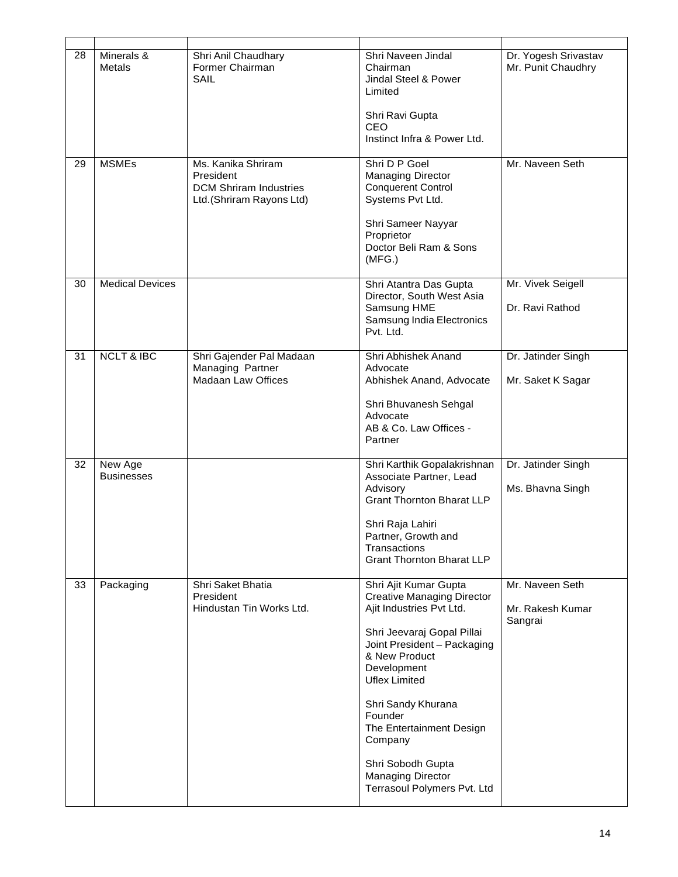| 28 | Minerals &<br>Metals         | Shri Anil Chaudhary<br>Former Chairman<br>SAIL                                               | Shri Naveen Jindal<br>Chairman<br>Jindal Steel & Power<br>Limited<br>Shri Ravi Gupta<br><b>CEO</b><br>Instinct Infra & Power Ltd.                                                                                                                                                                                                                                   | Dr. Yogesh Srivastav<br>Mr. Punit Chaudhry     |
|----|------------------------------|----------------------------------------------------------------------------------------------|---------------------------------------------------------------------------------------------------------------------------------------------------------------------------------------------------------------------------------------------------------------------------------------------------------------------------------------------------------------------|------------------------------------------------|
| 29 | <b>MSMEs</b>                 | Ms. Kanika Shriram<br>President<br><b>DCM Shriram Industries</b><br>Ltd.(Shriram Rayons Ltd) | Shri D P Goel<br><b>Managing Director</b><br><b>Conquerent Control</b><br>Systems Pvt Ltd.<br>Shri Sameer Nayyar<br>Proprietor<br>Doctor Beli Ram & Sons<br>(MFG.)                                                                                                                                                                                                  | Mr. Naveen Seth                                |
| 30 | <b>Medical Devices</b>       |                                                                                              | Shri Atantra Das Gupta<br>Director, South West Asia<br>Samsung HME<br>Samsung India Electronics<br>Pvt. Ltd.                                                                                                                                                                                                                                                        | Mr. Vivek Seigell<br>Dr. Ravi Rathod           |
| 31 | <b>NCLT &amp; IBC</b>        | Shri Gajender Pal Madaan<br>Managing Partner<br><b>Madaan Law Offices</b>                    | Shri Abhishek Anand<br>Advocate<br>Abhishek Anand, Advocate<br>Shri Bhuvanesh Sehgal<br>Advocate<br>AB & Co. Law Offices -<br>Partner                                                                                                                                                                                                                               | Dr. Jatinder Singh<br>Mr. Saket K Sagar        |
| 32 | New Age<br><b>Businesses</b> |                                                                                              | Shri Karthik Gopalakrishnan<br>Associate Partner, Lead<br>Advisory<br><b>Grant Thornton Bharat LLP</b><br>Shri Raja Lahiri<br>Partner, Growth and<br>Transactions<br><b>Grant Thornton Bharat LLP</b>                                                                                                                                                               | Dr. Jatinder Singh<br>Ms. Bhavna Singh         |
| 33 | Packaging                    | Shri Saket Bhatia<br>President<br>Hindustan Tin Works Ltd.                                   | Shri Ajit Kumar Gupta<br><b>Creative Managing Director</b><br>Ajit Industries Pvt Ltd.<br>Shri Jeevaraj Gopal Pillai<br>Joint President - Packaging<br>& New Product<br>Development<br><b>Uflex Limited</b><br>Shri Sandy Khurana<br>Founder<br>The Entertainment Design<br>Company<br>Shri Sobodh Gupta<br><b>Managing Director</b><br>Terrasoul Polymers Pvt. Ltd | Mr. Naveen Seth<br>Mr. Rakesh Kumar<br>Sangrai |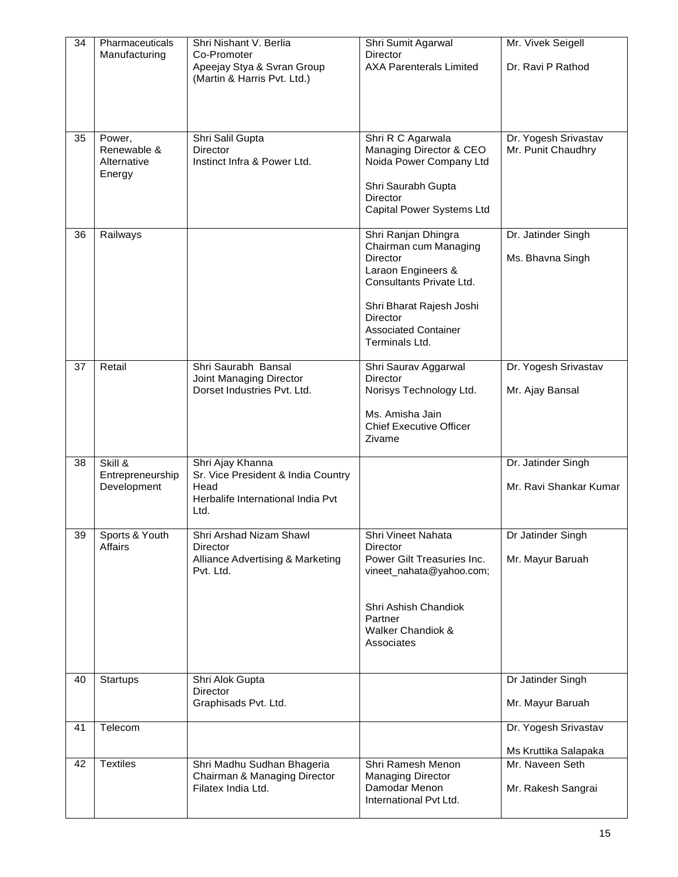| Co-Promoter<br><b>Director</b><br>Manufacturing<br><b>AXA Parenterals Limited</b><br>Apeejay Stya & Svran Group<br>Dr. Ravi P Rathod<br>(Martin & Harris Pvt. Ltd.)<br>Shri R C Agarwala<br>35<br>Shri Salil Gupta<br>Dr. Yogesh Srivastav<br>Power,<br>Renewable &<br>Director<br>Managing Director & CEO<br>Mr. Punit Chaudhry<br>Instinct Infra & Power Ltd.<br>Noida Power Company Ltd<br>Alternative<br>Energy<br>Shri Saurabh Gupta<br><b>Director</b><br>Capital Power Systems Ltd<br>Shri Ranjan Dhingra<br>Railways<br>Dr. Jatinder Singh<br>36<br>Chairman cum Managing<br><b>Director</b><br>Ms. Bhavna Singh<br>Laraon Engineers &<br>Consultants Private Ltd.<br>Shri Bharat Rajesh Joshi<br><b>Director</b><br><b>Associated Container</b><br>Terminals Ltd.<br>Dr. Yogesh Srivastav<br>37<br>Retail<br>Shri Saurabh Bansal<br>Shri Saurav Aggarwal<br>Joint Managing Director<br>Director<br>Dorset Industries Pyt. Ltd.<br>Norisys Technology Ltd.<br>Mr. Ajay Bansal<br>Ms. Amisha Jain<br><b>Chief Executive Officer</b><br>Zivame<br>Skill &<br>Shri Ajay Khanna<br>Dr. Jatinder Singh<br>38<br>Entrepreneurship<br>Sr. Vice President & India Country<br>Head<br>Mr. Ravi Shankar Kumar<br>Development<br>Herbalife International India Pvt<br>Ltd.<br>39<br>Sports & Youth<br>Shri Arshad Nizam Shawl<br>Shri Vineet Nahata<br>Dr Jatinder Singh<br><b>Affairs</b><br>Director<br>Director<br>Alliance Advertising & Marketing<br>Power Gilt Treasuries Inc.<br>Mr. Mayur Baruah<br>Pvt. Ltd.<br>vineet_nahata@yahoo.com;<br>Shri Ashish Chandiok<br>Partner<br>Walker Chandiok &<br>Associates<br>Shri Alok Gupta<br>Dr Jatinder Singh<br>40<br>Startups<br>Director<br>Graphisads Pvt. Ltd.<br>Mr. Mayur Baruah<br>Telecom<br>Dr. Yogesh Srivastav<br>41<br>Ms Kruttika Salapaka<br><b>Textiles</b><br>Mr. Naveen Seth<br>Shri Madhu Sudhan Bhageria<br>Shri Ramesh Menon<br>42<br>Chairman & Managing Director<br><b>Managing Director</b><br>Damodar Menon<br>Mr. Rakesh Sangrai<br>Filatex India Ltd.<br>International Pvt Ltd. | 34 | Pharmaceuticals | Shri Nishant V. Berlia | Shri Sumit Agarwal | Mr. Vivek Seigell |
|-----------------------------------------------------------------------------------------------------------------------------------------------------------------------------------------------------------------------------------------------------------------------------------------------------------------------------------------------------------------------------------------------------------------------------------------------------------------------------------------------------------------------------------------------------------------------------------------------------------------------------------------------------------------------------------------------------------------------------------------------------------------------------------------------------------------------------------------------------------------------------------------------------------------------------------------------------------------------------------------------------------------------------------------------------------------------------------------------------------------------------------------------------------------------------------------------------------------------------------------------------------------------------------------------------------------------------------------------------------------------------------------------------------------------------------------------------------------------------------------------------------------------------------------------------------------------------------------------------------------------------------------------------------------------------------------------------------------------------------------------------------------------------------------------------------------------------------------------------------------------------------------------------------------------------------------------------------------------------------------------------------------------------------------------------------|----|-----------------|------------------------|--------------------|-------------------|
|                                                                                                                                                                                                                                                                                                                                                                                                                                                                                                                                                                                                                                                                                                                                                                                                                                                                                                                                                                                                                                                                                                                                                                                                                                                                                                                                                                                                                                                                                                                                                                                                                                                                                                                                                                                                                                                                                                                                                                                                                                                           |    |                 |                        |                    |                   |
|                                                                                                                                                                                                                                                                                                                                                                                                                                                                                                                                                                                                                                                                                                                                                                                                                                                                                                                                                                                                                                                                                                                                                                                                                                                                                                                                                                                                                                                                                                                                                                                                                                                                                                                                                                                                                                                                                                                                                                                                                                                           |    |                 |                        |                    |                   |
|                                                                                                                                                                                                                                                                                                                                                                                                                                                                                                                                                                                                                                                                                                                                                                                                                                                                                                                                                                                                                                                                                                                                                                                                                                                                                                                                                                                                                                                                                                                                                                                                                                                                                                                                                                                                                                                                                                                                                                                                                                                           |    |                 |                        |                    |                   |
|                                                                                                                                                                                                                                                                                                                                                                                                                                                                                                                                                                                                                                                                                                                                                                                                                                                                                                                                                                                                                                                                                                                                                                                                                                                                                                                                                                                                                                                                                                                                                                                                                                                                                                                                                                                                                                                                                                                                                                                                                                                           |    |                 |                        |                    |                   |
|                                                                                                                                                                                                                                                                                                                                                                                                                                                                                                                                                                                                                                                                                                                                                                                                                                                                                                                                                                                                                                                                                                                                                                                                                                                                                                                                                                                                                                                                                                                                                                                                                                                                                                                                                                                                                                                                                                                                                                                                                                                           |    |                 |                        |                    |                   |
|                                                                                                                                                                                                                                                                                                                                                                                                                                                                                                                                                                                                                                                                                                                                                                                                                                                                                                                                                                                                                                                                                                                                                                                                                                                                                                                                                                                                                                                                                                                                                                                                                                                                                                                                                                                                                                                                                                                                                                                                                                                           |    |                 |                        |                    |                   |
|                                                                                                                                                                                                                                                                                                                                                                                                                                                                                                                                                                                                                                                                                                                                                                                                                                                                                                                                                                                                                                                                                                                                                                                                                                                                                                                                                                                                                                                                                                                                                                                                                                                                                                                                                                                                                                                                                                                                                                                                                                                           |    |                 |                        |                    |                   |
|                                                                                                                                                                                                                                                                                                                                                                                                                                                                                                                                                                                                                                                                                                                                                                                                                                                                                                                                                                                                                                                                                                                                                                                                                                                                                                                                                                                                                                                                                                                                                                                                                                                                                                                                                                                                                                                                                                                                                                                                                                                           |    |                 |                        |                    |                   |
|                                                                                                                                                                                                                                                                                                                                                                                                                                                                                                                                                                                                                                                                                                                                                                                                                                                                                                                                                                                                                                                                                                                                                                                                                                                                                                                                                                                                                                                                                                                                                                                                                                                                                                                                                                                                                                                                                                                                                                                                                                                           |    |                 |                        |                    |                   |
|                                                                                                                                                                                                                                                                                                                                                                                                                                                                                                                                                                                                                                                                                                                                                                                                                                                                                                                                                                                                                                                                                                                                                                                                                                                                                                                                                                                                                                                                                                                                                                                                                                                                                                                                                                                                                                                                                                                                                                                                                                                           |    |                 |                        |                    |                   |
|                                                                                                                                                                                                                                                                                                                                                                                                                                                                                                                                                                                                                                                                                                                                                                                                                                                                                                                                                                                                                                                                                                                                                                                                                                                                                                                                                                                                                                                                                                                                                                                                                                                                                                                                                                                                                                                                                                                                                                                                                                                           |    |                 |                        |                    |                   |
|                                                                                                                                                                                                                                                                                                                                                                                                                                                                                                                                                                                                                                                                                                                                                                                                                                                                                                                                                                                                                                                                                                                                                                                                                                                                                                                                                                                                                                                                                                                                                                                                                                                                                                                                                                                                                                                                                                                                                                                                                                                           |    |                 |                        |                    |                   |
|                                                                                                                                                                                                                                                                                                                                                                                                                                                                                                                                                                                                                                                                                                                                                                                                                                                                                                                                                                                                                                                                                                                                                                                                                                                                                                                                                                                                                                                                                                                                                                                                                                                                                                                                                                                                                                                                                                                                                                                                                                                           |    |                 |                        |                    |                   |
|                                                                                                                                                                                                                                                                                                                                                                                                                                                                                                                                                                                                                                                                                                                                                                                                                                                                                                                                                                                                                                                                                                                                                                                                                                                                                                                                                                                                                                                                                                                                                                                                                                                                                                                                                                                                                                                                                                                                                                                                                                                           |    |                 |                        |                    |                   |
|                                                                                                                                                                                                                                                                                                                                                                                                                                                                                                                                                                                                                                                                                                                                                                                                                                                                                                                                                                                                                                                                                                                                                                                                                                                                                                                                                                                                                                                                                                                                                                                                                                                                                                                                                                                                                                                                                                                                                                                                                                                           |    |                 |                        |                    |                   |
|                                                                                                                                                                                                                                                                                                                                                                                                                                                                                                                                                                                                                                                                                                                                                                                                                                                                                                                                                                                                                                                                                                                                                                                                                                                                                                                                                                                                                                                                                                                                                                                                                                                                                                                                                                                                                                                                                                                                                                                                                                                           |    |                 |                        |                    |                   |
|                                                                                                                                                                                                                                                                                                                                                                                                                                                                                                                                                                                                                                                                                                                                                                                                                                                                                                                                                                                                                                                                                                                                                                                                                                                                                                                                                                                                                                                                                                                                                                                                                                                                                                                                                                                                                                                                                                                                                                                                                                                           |    |                 |                        |                    |                   |
|                                                                                                                                                                                                                                                                                                                                                                                                                                                                                                                                                                                                                                                                                                                                                                                                                                                                                                                                                                                                                                                                                                                                                                                                                                                                                                                                                                                                                                                                                                                                                                                                                                                                                                                                                                                                                                                                                                                                                                                                                                                           |    |                 |                        |                    |                   |
|                                                                                                                                                                                                                                                                                                                                                                                                                                                                                                                                                                                                                                                                                                                                                                                                                                                                                                                                                                                                                                                                                                                                                                                                                                                                                                                                                                                                                                                                                                                                                                                                                                                                                                                                                                                                                                                                                                                                                                                                                                                           |    |                 |                        |                    |                   |
|                                                                                                                                                                                                                                                                                                                                                                                                                                                                                                                                                                                                                                                                                                                                                                                                                                                                                                                                                                                                                                                                                                                                                                                                                                                                                                                                                                                                                                                                                                                                                                                                                                                                                                                                                                                                                                                                                                                                                                                                                                                           |    |                 |                        |                    |                   |
|                                                                                                                                                                                                                                                                                                                                                                                                                                                                                                                                                                                                                                                                                                                                                                                                                                                                                                                                                                                                                                                                                                                                                                                                                                                                                                                                                                                                                                                                                                                                                                                                                                                                                                                                                                                                                                                                                                                                                                                                                                                           |    |                 |                        |                    |                   |
|                                                                                                                                                                                                                                                                                                                                                                                                                                                                                                                                                                                                                                                                                                                                                                                                                                                                                                                                                                                                                                                                                                                                                                                                                                                                                                                                                                                                                                                                                                                                                                                                                                                                                                                                                                                                                                                                                                                                                                                                                                                           |    |                 |                        |                    |                   |
|                                                                                                                                                                                                                                                                                                                                                                                                                                                                                                                                                                                                                                                                                                                                                                                                                                                                                                                                                                                                                                                                                                                                                                                                                                                                                                                                                                                                                                                                                                                                                                                                                                                                                                                                                                                                                                                                                                                                                                                                                                                           |    |                 |                        |                    |                   |
|                                                                                                                                                                                                                                                                                                                                                                                                                                                                                                                                                                                                                                                                                                                                                                                                                                                                                                                                                                                                                                                                                                                                                                                                                                                                                                                                                                                                                                                                                                                                                                                                                                                                                                                                                                                                                                                                                                                                                                                                                                                           |    |                 |                        |                    |                   |
|                                                                                                                                                                                                                                                                                                                                                                                                                                                                                                                                                                                                                                                                                                                                                                                                                                                                                                                                                                                                                                                                                                                                                                                                                                                                                                                                                                                                                                                                                                                                                                                                                                                                                                                                                                                                                                                                                                                                                                                                                                                           |    |                 |                        |                    |                   |
|                                                                                                                                                                                                                                                                                                                                                                                                                                                                                                                                                                                                                                                                                                                                                                                                                                                                                                                                                                                                                                                                                                                                                                                                                                                                                                                                                                                                                                                                                                                                                                                                                                                                                                                                                                                                                                                                                                                                                                                                                                                           |    |                 |                        |                    |                   |
|                                                                                                                                                                                                                                                                                                                                                                                                                                                                                                                                                                                                                                                                                                                                                                                                                                                                                                                                                                                                                                                                                                                                                                                                                                                                                                                                                                                                                                                                                                                                                                                                                                                                                                                                                                                                                                                                                                                                                                                                                                                           |    |                 |                        |                    |                   |
|                                                                                                                                                                                                                                                                                                                                                                                                                                                                                                                                                                                                                                                                                                                                                                                                                                                                                                                                                                                                                                                                                                                                                                                                                                                                                                                                                                                                                                                                                                                                                                                                                                                                                                                                                                                                                                                                                                                                                                                                                                                           |    |                 |                        |                    |                   |
|                                                                                                                                                                                                                                                                                                                                                                                                                                                                                                                                                                                                                                                                                                                                                                                                                                                                                                                                                                                                                                                                                                                                                                                                                                                                                                                                                                                                                                                                                                                                                                                                                                                                                                                                                                                                                                                                                                                                                                                                                                                           |    |                 |                        |                    |                   |
|                                                                                                                                                                                                                                                                                                                                                                                                                                                                                                                                                                                                                                                                                                                                                                                                                                                                                                                                                                                                                                                                                                                                                                                                                                                                                                                                                                                                                                                                                                                                                                                                                                                                                                                                                                                                                                                                                                                                                                                                                                                           |    |                 |                        |                    |                   |
|                                                                                                                                                                                                                                                                                                                                                                                                                                                                                                                                                                                                                                                                                                                                                                                                                                                                                                                                                                                                                                                                                                                                                                                                                                                                                                                                                                                                                                                                                                                                                                                                                                                                                                                                                                                                                                                                                                                                                                                                                                                           |    |                 |                        |                    |                   |
|                                                                                                                                                                                                                                                                                                                                                                                                                                                                                                                                                                                                                                                                                                                                                                                                                                                                                                                                                                                                                                                                                                                                                                                                                                                                                                                                                                                                                                                                                                                                                                                                                                                                                                                                                                                                                                                                                                                                                                                                                                                           |    |                 |                        |                    |                   |
|                                                                                                                                                                                                                                                                                                                                                                                                                                                                                                                                                                                                                                                                                                                                                                                                                                                                                                                                                                                                                                                                                                                                                                                                                                                                                                                                                                                                                                                                                                                                                                                                                                                                                                                                                                                                                                                                                                                                                                                                                                                           |    |                 |                        |                    |                   |
|                                                                                                                                                                                                                                                                                                                                                                                                                                                                                                                                                                                                                                                                                                                                                                                                                                                                                                                                                                                                                                                                                                                                                                                                                                                                                                                                                                                                                                                                                                                                                                                                                                                                                                                                                                                                                                                                                                                                                                                                                                                           |    |                 |                        |                    |                   |
|                                                                                                                                                                                                                                                                                                                                                                                                                                                                                                                                                                                                                                                                                                                                                                                                                                                                                                                                                                                                                                                                                                                                                                                                                                                                                                                                                                                                                                                                                                                                                                                                                                                                                                                                                                                                                                                                                                                                                                                                                                                           |    |                 |                        |                    |                   |
|                                                                                                                                                                                                                                                                                                                                                                                                                                                                                                                                                                                                                                                                                                                                                                                                                                                                                                                                                                                                                                                                                                                                                                                                                                                                                                                                                                                                                                                                                                                                                                                                                                                                                                                                                                                                                                                                                                                                                                                                                                                           |    |                 |                        |                    |                   |
|                                                                                                                                                                                                                                                                                                                                                                                                                                                                                                                                                                                                                                                                                                                                                                                                                                                                                                                                                                                                                                                                                                                                                                                                                                                                                                                                                                                                                                                                                                                                                                                                                                                                                                                                                                                                                                                                                                                                                                                                                                                           |    |                 |                        |                    |                   |
|                                                                                                                                                                                                                                                                                                                                                                                                                                                                                                                                                                                                                                                                                                                                                                                                                                                                                                                                                                                                                                                                                                                                                                                                                                                                                                                                                                                                                                                                                                                                                                                                                                                                                                                                                                                                                                                                                                                                                                                                                                                           |    |                 |                        |                    |                   |
|                                                                                                                                                                                                                                                                                                                                                                                                                                                                                                                                                                                                                                                                                                                                                                                                                                                                                                                                                                                                                                                                                                                                                                                                                                                                                                                                                                                                                                                                                                                                                                                                                                                                                                                                                                                                                                                                                                                                                                                                                                                           |    |                 |                        |                    |                   |
|                                                                                                                                                                                                                                                                                                                                                                                                                                                                                                                                                                                                                                                                                                                                                                                                                                                                                                                                                                                                                                                                                                                                                                                                                                                                                                                                                                                                                                                                                                                                                                                                                                                                                                                                                                                                                                                                                                                                                                                                                                                           |    |                 |                        |                    |                   |
|                                                                                                                                                                                                                                                                                                                                                                                                                                                                                                                                                                                                                                                                                                                                                                                                                                                                                                                                                                                                                                                                                                                                                                                                                                                                                                                                                                                                                                                                                                                                                                                                                                                                                                                                                                                                                                                                                                                                                                                                                                                           |    |                 |                        |                    |                   |
|                                                                                                                                                                                                                                                                                                                                                                                                                                                                                                                                                                                                                                                                                                                                                                                                                                                                                                                                                                                                                                                                                                                                                                                                                                                                                                                                                                                                                                                                                                                                                                                                                                                                                                                                                                                                                                                                                                                                                                                                                                                           |    |                 |                        |                    |                   |
|                                                                                                                                                                                                                                                                                                                                                                                                                                                                                                                                                                                                                                                                                                                                                                                                                                                                                                                                                                                                                                                                                                                                                                                                                                                                                                                                                                                                                                                                                                                                                                                                                                                                                                                                                                                                                                                                                                                                                                                                                                                           |    |                 |                        |                    |                   |
|                                                                                                                                                                                                                                                                                                                                                                                                                                                                                                                                                                                                                                                                                                                                                                                                                                                                                                                                                                                                                                                                                                                                                                                                                                                                                                                                                                                                                                                                                                                                                                                                                                                                                                                                                                                                                                                                                                                                                                                                                                                           |    |                 |                        |                    |                   |
|                                                                                                                                                                                                                                                                                                                                                                                                                                                                                                                                                                                                                                                                                                                                                                                                                                                                                                                                                                                                                                                                                                                                                                                                                                                                                                                                                                                                                                                                                                                                                                                                                                                                                                                                                                                                                                                                                                                                                                                                                                                           |    |                 |                        |                    |                   |
|                                                                                                                                                                                                                                                                                                                                                                                                                                                                                                                                                                                                                                                                                                                                                                                                                                                                                                                                                                                                                                                                                                                                                                                                                                                                                                                                                                                                                                                                                                                                                                                                                                                                                                                                                                                                                                                                                                                                                                                                                                                           |    |                 |                        |                    |                   |
|                                                                                                                                                                                                                                                                                                                                                                                                                                                                                                                                                                                                                                                                                                                                                                                                                                                                                                                                                                                                                                                                                                                                                                                                                                                                                                                                                                                                                                                                                                                                                                                                                                                                                                                                                                                                                                                                                                                                                                                                                                                           |    |                 |                        |                    |                   |
|                                                                                                                                                                                                                                                                                                                                                                                                                                                                                                                                                                                                                                                                                                                                                                                                                                                                                                                                                                                                                                                                                                                                                                                                                                                                                                                                                                                                                                                                                                                                                                                                                                                                                                                                                                                                                                                                                                                                                                                                                                                           |    |                 |                        |                    |                   |
|                                                                                                                                                                                                                                                                                                                                                                                                                                                                                                                                                                                                                                                                                                                                                                                                                                                                                                                                                                                                                                                                                                                                                                                                                                                                                                                                                                                                                                                                                                                                                                                                                                                                                                                                                                                                                                                                                                                                                                                                                                                           |    |                 |                        |                    |                   |
|                                                                                                                                                                                                                                                                                                                                                                                                                                                                                                                                                                                                                                                                                                                                                                                                                                                                                                                                                                                                                                                                                                                                                                                                                                                                                                                                                                                                                                                                                                                                                                                                                                                                                                                                                                                                                                                                                                                                                                                                                                                           |    |                 |                        |                    |                   |
|                                                                                                                                                                                                                                                                                                                                                                                                                                                                                                                                                                                                                                                                                                                                                                                                                                                                                                                                                                                                                                                                                                                                                                                                                                                                                                                                                                                                                                                                                                                                                                                                                                                                                                                                                                                                                                                                                                                                                                                                                                                           |    |                 |                        |                    |                   |
|                                                                                                                                                                                                                                                                                                                                                                                                                                                                                                                                                                                                                                                                                                                                                                                                                                                                                                                                                                                                                                                                                                                                                                                                                                                                                                                                                                                                                                                                                                                                                                                                                                                                                                                                                                                                                                                                                                                                                                                                                                                           |    |                 |                        |                    |                   |
|                                                                                                                                                                                                                                                                                                                                                                                                                                                                                                                                                                                                                                                                                                                                                                                                                                                                                                                                                                                                                                                                                                                                                                                                                                                                                                                                                                                                                                                                                                                                                                                                                                                                                                                                                                                                                                                                                                                                                                                                                                                           |    |                 |                        |                    |                   |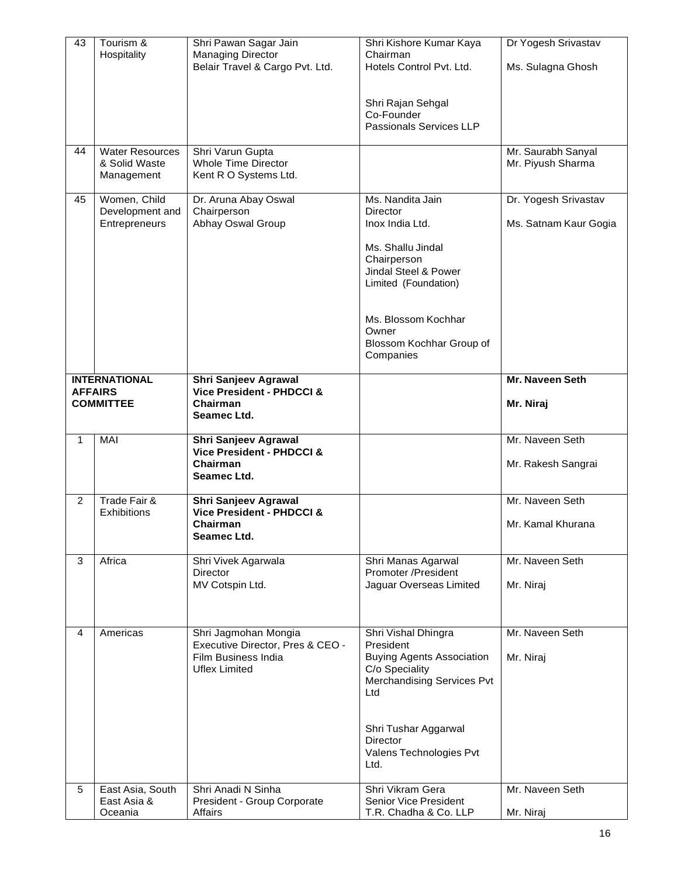| 43             | Tourism &                       | Shri Pawan Sagar Jain                                   | Shri Kishore Kumar Kaya                               | Dr Yogesh Srivastav   |
|----------------|---------------------------------|---------------------------------------------------------|-------------------------------------------------------|-----------------------|
|                | Hospitality                     | <b>Managing Director</b>                                | Chairman                                              |                       |
|                |                                 | Belair Travel & Cargo Pvt. Ltd.                         | Hotels Control Pvt. Ltd.                              | Ms. Sulagna Ghosh     |
|                |                                 |                                                         |                                                       |                       |
|                |                                 |                                                         | Shri Rajan Sehgal                                     |                       |
|                |                                 |                                                         | Co-Founder                                            |                       |
|                |                                 |                                                         | Passionals Services LLP                               |                       |
|                |                                 |                                                         |                                                       |                       |
| 44             | <b>Water Resources</b>          | Shri Varun Gupta                                        |                                                       | Mr. Saurabh Sanyal    |
|                | & Solid Waste                   | <b>Whole Time Director</b>                              |                                                       | Mr. Piyush Sharma     |
|                | Management                      | Kent R O Systems Ltd.                                   |                                                       |                       |
|                |                                 |                                                         |                                                       |                       |
| 45             | Women, Child<br>Development and | Dr. Aruna Abay Oswal<br>Chairperson                     | Ms. Nandita Jain<br><b>Director</b>                   | Dr. Yogesh Srivastav  |
|                | Entrepreneurs                   | Abhay Oswal Group                                       | Inox India Ltd.                                       | Ms. Satnam Kaur Gogia |
|                |                                 |                                                         |                                                       |                       |
|                |                                 |                                                         | Ms. Shallu Jindal                                     |                       |
|                |                                 |                                                         | Chairperson                                           |                       |
|                |                                 |                                                         | Jindal Steel & Power                                  |                       |
|                |                                 |                                                         | Limited (Foundation)                                  |                       |
|                |                                 |                                                         |                                                       |                       |
|                |                                 |                                                         | Ms. Blossom Kochhar                                   |                       |
|                |                                 |                                                         | Owner                                                 |                       |
|                |                                 |                                                         | Blossom Kochhar Group of                              |                       |
|                |                                 |                                                         | Companies                                             |                       |
|                |                                 |                                                         |                                                       |                       |
|                | <b>INTERNATIONAL</b>            | <b>Shri Sanjeev Agrawal</b>                             |                                                       | Mr. Naveen Seth       |
|                | <b>AFFAIRS</b>                  | Vice President - PHDCCI &                               |                                                       |                       |
|                | <b>COMMITTEE</b>                | Chairman                                                |                                                       | Mr. Niraj             |
|                |                                 | Seamec Ltd.                                             |                                                       |                       |
|                |                                 |                                                         |                                                       |                       |
|                |                                 |                                                         |                                                       |                       |
| $\mathbf{1}$   | MAI                             | Shri Sanjeev Agrawal<br>Vice President - PHDCCI &       |                                                       | Mr. Naveen Seth       |
|                |                                 | Chairman                                                |                                                       | Mr. Rakesh Sangrai    |
|                |                                 | Seamec Ltd.                                             |                                                       |                       |
|                |                                 |                                                         |                                                       |                       |
| $\overline{2}$ | Trade Fair &                    | <b>Shri Sanjeev Agrawal</b>                             |                                                       | Mr. Naveen Seth       |
|                | <b>Exhibitions</b>              | <b>Vice President - PHDCCI &amp;</b>                    |                                                       |                       |
|                |                                 | Chairman                                                |                                                       | Mr. Kamal Khurana     |
|                |                                 | Seamec Ltd.                                             |                                                       |                       |
| 3              | Africa                          | Shri Vivek Agarwala                                     | Shri Manas Agarwal                                    | Mr. Naveen Seth       |
|                |                                 | Director                                                | Promoter /President                                   |                       |
|                |                                 | MV Cotspin Ltd.                                         | Jaguar Overseas Limited                               | Mr. Niraj             |
|                |                                 |                                                         |                                                       |                       |
|                |                                 |                                                         |                                                       |                       |
| 4              |                                 |                                                         |                                                       |                       |
|                | Americas                        | Shri Jagmohan Mongia                                    | Shri Vishal Dhingra<br>President                      | Mr. Naveen Seth       |
|                |                                 | Executive Director, Pres & CEO -<br>Film Business India | <b>Buying Agents Association</b>                      | Mr. Niraj             |
|                |                                 | Uflex Limited                                           | C/o Speciality                                        |                       |
|                |                                 |                                                         | Merchandising Services Pvt                            |                       |
|                |                                 |                                                         | Ltd                                                   |                       |
|                |                                 |                                                         |                                                       |                       |
|                |                                 |                                                         |                                                       |                       |
|                |                                 |                                                         | Shri Tushar Aggarwal                                  |                       |
|                |                                 |                                                         | Director                                              |                       |
|                |                                 |                                                         | Valens Technologies Pvt<br>Ltd.                       |                       |
|                |                                 |                                                         |                                                       |                       |
| 5              | East Asia, South                | Shri Anadi N Sinha                                      | Shri Vikram Gera                                      | Mr. Naveen Seth       |
|                | East Asia &<br>Oceania          | President - Group Corporate<br>Affairs                  | <b>Senior Vice President</b><br>T.R. Chadha & Co. LLP | Mr. Niraj             |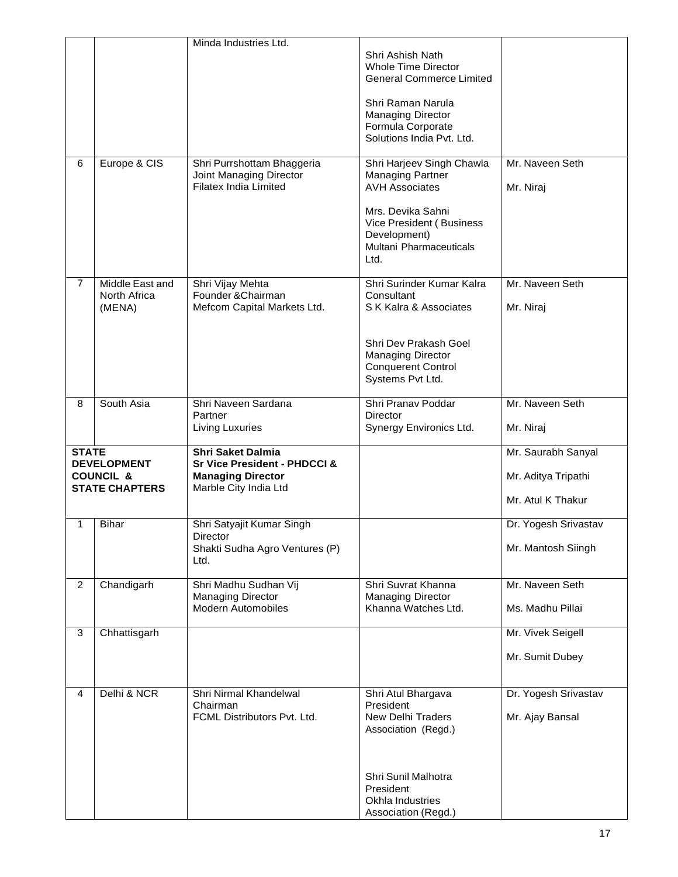|                |                                                                     | Minda Industries Ltd.                                                                                         |                                                                                                                                            |                                                                |
|----------------|---------------------------------------------------------------------|---------------------------------------------------------------------------------------------------------------|--------------------------------------------------------------------------------------------------------------------------------------------|----------------------------------------------------------------|
|                |                                                                     |                                                                                                               | Shri Ashish Nath<br><b>Whole Time Director</b><br><b>General Commerce Limited</b>                                                          |                                                                |
|                |                                                                     |                                                                                                               | Shri Raman Narula<br><b>Managing Director</b><br>Formula Corporate<br>Solutions India Pvt. Ltd.                                            |                                                                |
| 6              | Europe & CIS                                                        | Shri Purrshottam Bhaggeria<br>Joint Managing Director<br><b>Filatex India Limited</b>                         | Shri Harjeev Singh Chawla<br><b>Managing Partner</b><br><b>AVH Associates</b>                                                              | Mr. Naveen Seth<br>Mr. Niraj                                   |
|                |                                                                     |                                                                                                               | Mrs. Devika Sahni<br>Vice President (Business<br>Development)<br>Multani Pharmaceuticals<br>Ltd.                                           |                                                                |
| 7              | Middle East and<br>North Africa<br>(MENA)                           | Shri Vijay Mehta<br>Founder & Chairman<br>Mefcom Capital Markets Ltd.                                         | Shri Surinder Kumar Kalra<br>Consultant<br>S K Kalra & Associates                                                                          | Mr. Naveen Seth<br>Mr. Niraj                                   |
|                |                                                                     |                                                                                                               | Shri Dev Prakash Goel<br><b>Managing Director</b><br><b>Conquerent Control</b><br>Systems Pvt Ltd.                                         |                                                                |
| 8              | South Asia                                                          | Shri Naveen Sardana<br>Partner                                                                                | Shri Pranav Poddar<br>Director<br>Synergy Environics Ltd.                                                                                  | Mr. Naveen Seth<br>Mr. Niraj                                   |
|                |                                                                     | Living Luxuries                                                                                               |                                                                                                                                            |                                                                |
| <b>STATE</b>   | <b>DEVELOPMENT</b><br><b>COUNCIL &amp;</b><br><b>STATE CHAPTERS</b> | <b>Shri Saket Dalmia</b><br>Sr Vice President - PHDCCI &<br><b>Managing Director</b><br>Marble City India Ltd |                                                                                                                                            | Mr. Saurabh Sanyal<br>Mr. Aditya Tripathi<br>Mr. Atul K Thakur |
| 1              | <b>Bihar</b>                                                        | Shri Satyajit Kumar Singh<br>Director<br>Shakti Sudha Agro Ventures (P)<br>Ltd.                               |                                                                                                                                            | Dr. Yogesh Srivastav<br>Mr. Mantosh Siingh                     |
| $\overline{2}$ | Chandigarh                                                          | Shri Madhu Sudhan Vij<br>Managing Director<br><b>Modern Automobiles</b>                                       | Shri Suvrat Khanna<br><b>Managing Director</b><br>Khanna Watches Ltd.                                                                      | Mr. Naveen Seth<br>Ms. Madhu Pillai                            |
| 3              | Chhattisgarh                                                        |                                                                                                               |                                                                                                                                            | Mr. Vivek Seigell<br>Mr. Sumit Dubey                           |
| 4              | Delhi & NCR                                                         | Shri Nirmal Khandelwal<br>Chairman<br>FCML Distributors Pvt. Ltd.                                             | Shri Atul Bhargava<br>President<br><b>New Delhi Traders</b><br>Association (Regd.)<br>Shri Sunil Malhotra<br>President<br>Okhla Industries | Dr. Yogesh Srivastav<br>Mr. Ajay Bansal                        |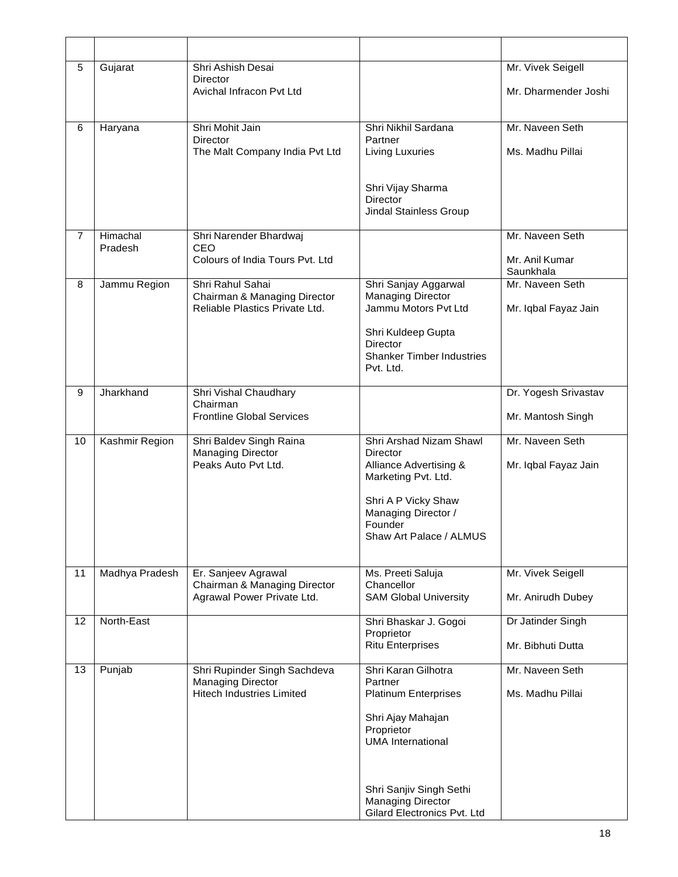| 5              | Gujarat             | Shri Ashish Desai<br><b>Director</b><br>Avichal Infracon Pvt Ltd                             |                                                                                                                                                                                                                    | Mr. Vivek Seigell<br>Mr. Dharmender Joshi      |
|----------------|---------------------|----------------------------------------------------------------------------------------------|--------------------------------------------------------------------------------------------------------------------------------------------------------------------------------------------------------------------|------------------------------------------------|
| 6              | Haryana             | Shri Mohit Jain<br>Director<br>The Malt Company India Pvt Ltd                                | Shri Nikhil Sardana<br>Partner<br><b>Living Luxuries</b><br>Shri Vijay Sharma<br><b>Director</b><br>Jindal Stainless Group                                                                                         | Mr. Naveen Seth<br>Ms. Madhu Pillai            |
| $\overline{7}$ | Himachal<br>Pradesh | Shri Narender Bhardwaj<br>CEO<br>Colours of India Tours Pvt. Ltd                             |                                                                                                                                                                                                                    | Mr. Naveen Seth<br>Mr. Anil Kumar<br>Saunkhala |
| 8              | Jammu Region        | Shri Rahul Sahai<br>Chairman & Managing Director<br>Reliable Plastics Private Ltd.           | Shri Sanjay Aggarwal<br><b>Managing Director</b><br>Jammu Motors Pvt Ltd<br>Shri Kuldeep Gupta<br><b>Director</b><br><b>Shanker Timber Industries</b><br>Pvt. Ltd.                                                 | Mr. Naveen Seth<br>Mr. Iqbal Fayaz Jain        |
| 9              | Jharkhand           | Shri Vishal Chaudhary<br>Chairman<br><b>Frontline Global Services</b>                        |                                                                                                                                                                                                                    | Dr. Yogesh Srivastav<br>Mr. Mantosh Singh      |
| 10             | Kashmir Region      | Shri Baldev Singh Raina<br><b>Managing Director</b><br>Peaks Auto Pvt Ltd.                   | Shri Arshad Nizam Shawl<br>Director<br>Alliance Advertising &<br>Marketing Pvt. Ltd.<br>Shri A P Vicky Shaw<br>Managing Director /<br>Founder<br>Shaw Art Palace / ALMUS                                           | Mr. Naveen Seth<br>Mr. Iqbal Fayaz Jain        |
| 11             | Madhya Pradesh      | Er. Sanjeev Agrawal<br>Chairman & Managing Director<br>Agrawal Power Private Ltd.            | Ms. Preeti Saluja<br>Chancellor<br><b>SAM Global University</b>                                                                                                                                                    | Mr. Vivek Seigell<br>Mr. Anirudh Dubey         |
| 12             | North-East          |                                                                                              | Shri Bhaskar J. Gogoi<br>Proprietor<br><b>Ritu Enterprises</b>                                                                                                                                                     | Dr Jatinder Singh<br>Mr. Bibhuti Dutta         |
| 13             | Punjab              | Shri Rupinder Singh Sachdeva<br><b>Managing Director</b><br><b>Hitech Industries Limited</b> | Shri Karan Gilhotra<br>Partner<br><b>Platinum Enterprises</b><br>Shri Ajay Mahajan<br>Proprietor<br><b>UMA</b> International<br>Shri Sanjiv Singh Sethi<br><b>Managing Director</b><br>Gilard Electronics Pvt. Ltd | Mr. Naveen Seth<br>Ms. Madhu Pillai            |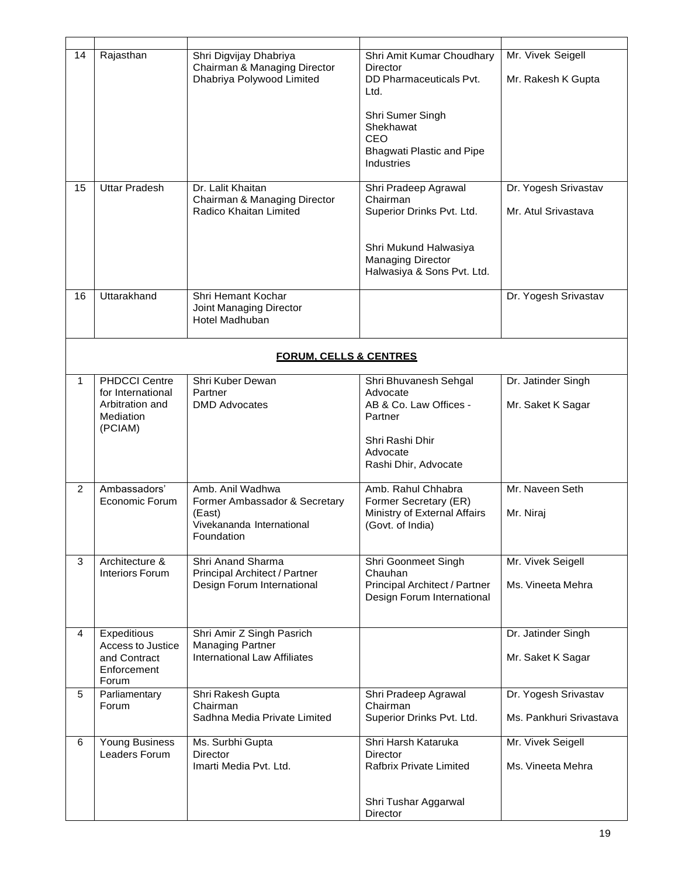| 14 | Rajasthan                                                           | Shri Digvijay Dhabriya<br>Chairman & Managing Director<br>Dhabriya Polywood Limited | Shri Amit Kumar Choudhary<br><b>Director</b><br>DD Pharmaceuticals Pvt.<br>Ltd.               | Mr. Vivek Seigell<br>Mr. Rakesh K Gupta         |  |  |  |
|----|---------------------------------------------------------------------|-------------------------------------------------------------------------------------|-----------------------------------------------------------------------------------------------|-------------------------------------------------|--|--|--|
|    |                                                                     |                                                                                     | Shri Sumer Singh<br>Shekhawat<br>CEO<br><b>Bhagwati Plastic and Pipe</b><br><b>Industries</b> |                                                 |  |  |  |
| 15 | <b>Uttar Pradesh</b>                                                | Dr. Lalit Khaitan<br>Chairman & Managing Director<br>Radico Khaitan Limited         | Shri Pradeep Agrawal<br>Chairman<br>Superior Drinks Pvt. Ltd.                                 | Dr. Yogesh Srivastav<br>Mr. Atul Srivastava     |  |  |  |
|    |                                                                     |                                                                                     | Shri Mukund Halwasiya<br><b>Managing Director</b><br>Halwasiya & Sons Pvt. Ltd.               |                                                 |  |  |  |
| 16 | Uttarakhand                                                         | Shri Hemant Kochar<br>Joint Managing Director<br>Hotel Madhuban                     |                                                                                               | Dr. Yogesh Srivastav                            |  |  |  |
|    | <b>FORUM. CELLS &amp; CENTRES</b>                                   |                                                                                     |                                                                                               |                                                 |  |  |  |
| 1  | <b>PHDCCI Centre</b>                                                | Shri Kuber Dewan                                                                    | Shri Bhuvanesh Sehgal                                                                         | Dr. Jatinder Singh                              |  |  |  |
|    | for International<br>Arbitration and<br><b>Mediation</b><br>(PCIAM) | Partner<br><b>DMD Advocates</b>                                                     | Advocate<br>AB & Co. Law Offices -<br>Partner                                                 | Mr. Saket K Sagar                               |  |  |  |
|    |                                                                     |                                                                                     | Shri Rashi Dhir<br>Advocate<br>Rashi Dhir, Advocate                                           |                                                 |  |  |  |
| 2  | Ambassadors'                                                        | Amb. Anil Wadhwa                                                                    | Amb. Rahul Chhabra                                                                            | Mr. Naveen Seth                                 |  |  |  |
|    | Economic Forum                                                      | Former Ambassador & Secretary<br>(East)<br>Vivekananda International<br>Foundation  | Former Secretary (ER)<br>Ministry of External Affairs<br>(Govt. of India)                     | Mr. Niraj                                       |  |  |  |
| 3  | Architecture &                                                      | Shri Anand Sharma                                                                   | Shri Goonmeet Singh                                                                           | Mr. Vivek Seigell                               |  |  |  |
|    | <b>Interiors Forum</b>                                              | Principal Architect / Partner<br>Design Forum International                         | Chauhan<br>Principal Architect / Partner<br>Design Forum International                        | Ms. Vineeta Mehra                               |  |  |  |
| 4  | Expeditious                                                         | Shri Amir Z Singh Pasrich                                                           |                                                                                               | Dr. Jatinder Singh                              |  |  |  |
|    | Access to Justice<br>and Contract<br>Enforcement<br>Forum           | <b>Managing Partner</b><br><b>International Law Affiliates</b>                      |                                                                                               | Mr. Saket K Sagar                               |  |  |  |
| 5  | Parliamentary<br>Forum                                              | Shri Rakesh Gupta<br>Chairman<br>Sadhna Media Private Limited                       | Shri Pradeep Agrawal<br>Chairman<br>Superior Drinks Pvt. Ltd.                                 | Dr. Yogesh Srivastav<br>Ms. Pankhuri Srivastava |  |  |  |
| 6  | <b>Young Business</b>                                               | Ms. Surbhi Gupta                                                                    | Shri Harsh Kataruka                                                                           | Mr. Vivek Seigell                               |  |  |  |
|    | Leaders Forum                                                       | <b>Director</b><br>Imarti Media Pvt. Ltd.                                           | <b>Director</b><br><b>Rafbrix Private Limited</b>                                             | Ms. Vineeta Mehra                               |  |  |  |
|    |                                                                     |                                                                                     | Shri Tushar Aggarwal<br>Director                                                              |                                                 |  |  |  |